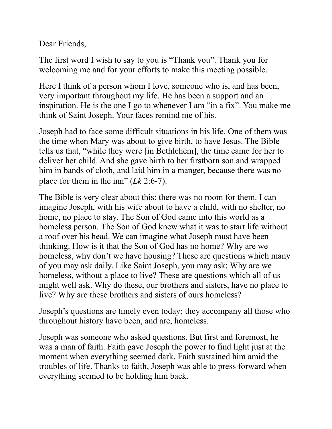Dear Friends,

The first word I wish to say to you is "Thank you". Thank you for welcoming me and for your efforts to make this meeting possible.

Here I think of a person whom I love, someone who is, and has been, very important throughout my life. He has been a support and an inspiration. He is the one I go to whenever I am "in a fix". You make me think of Saint Joseph. Your faces remind me of his.

Joseph had to face some difficult situations in his life. One of them was the time when Mary was about to give birth, to have Jesus. The Bible tells us that, "while they were [in Bethlehem], the time came for her to deliver her child. And she gave birth to her firstborn son and wrapped him in bands of cloth, and laid him in a manger, because there was no place for them in the inn" (*Lk* 2:6-7).

The Bible is very clear about this: there was no room for them. I can imagine Joseph, with his wife about to have a child, with no shelter, no home, no place to stay. The Son of God came into this world as a homeless person. The Son of God knew what it was to start life without a roof over his head. We can imagine what Joseph must have been thinking. How is it that the Son of God has no home? Why are we homeless, why don't we have housing? These are questions which many of you may ask daily. Like Saint Joseph, you may ask: Why are we homeless, without a place to live? These are questions which all of us might well ask. Why do these, our brothers and sisters, have no place to live? Why are these brothers and sisters of ours homeless?

Joseph's questions are timely even today; they accompany all those who throughout history have been, and are, homeless.

Joseph was someone who asked questions. But first and foremost, he was a man of faith. Faith gave Joseph the power to find light just at the moment when everything seemed dark. Faith sustained him amid the troubles of life. Thanks to faith, Joseph was able to press forward when everything seemed to be holding him back.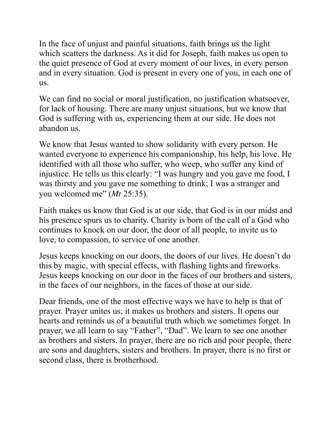In the face of unjust and painful situations, faith brings us the light which scatters the darkness. As it did for Joseph, faith makes us open to the quiet presence of God at every moment of our lives, in every person and in every situation. God is present in every one of you, in each one of us.

We can find no social or moral justification, no justification whatsoever, for lack of housing. There are many unjust situations, but we know that God is suffering with us, experiencing them at our side. He does not abandon us.

We know that Jesus wanted to show solidarity with every person. He wanted everyone to experience his companionship, his help, his love. He identified with all those who suffer, who weep, who suffer any kind of injustice. He tells us this clearly: "I was hungry and you gave me food, I was thirsty and you gave me something to drink; I was a stranger and you welcomed me" (*Mt* 25:35).

Faith makes us know that God is at our side, that God is in our midst and his presence spurs us to charity. Charity is born of the call of a God who continues to knock on our door, the door of all people, to invite us to love, to compassion, to service of one another.

Jesus keeps knocking on our doors, the doors of our lives. He doesn't do this by magic, with special effects, with flashing lights and fireworks. Jesus keeps knocking on our door in the faces of our brothers and sisters, in the faces of our neighbors, in the faces of those at our side.

Dear friends, one of the most effective ways we have to help is that of prayer. Prayer unites us; it makes us brothers and sisters. It opens our hearts and reminds us of a beautiful truth which we sometimes forget. In prayer, we all learn to say "Father", "Dad". We learn to see one another as brothers and sisters. In prayer, there are no rich and poor people, there are sons and daughters, sisters and brothers. In prayer, there is no first or second class, there is brotherhood.